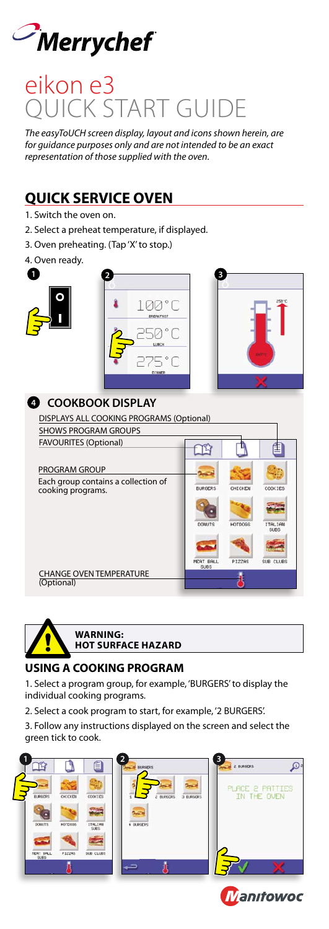

# Quick Start Guide eikon e3

*The easyToUCH screen display, layout and icons shown herein, are for guidance purposes only and are not intended to be an exact representation of those supplied with the oven.*

# **QUICK SERVICE OVEN**

- 1. Switch the oven on.
- 2. Select a preheat temperature, if displayed.
- 3. Oven preheating. (Tap 'X' to stop.)
- 4. Oven ready.







# **4 COOKBOOK DISPLAY**





#### **WARNING: Hot surface Hazard**

### **USING A COOKING PROGRAM**

1. Select a program group, for example, 'BURGERS' to display the individual cooking programs.

- 2. Select a cook program to start, for example, '2 BURGERS'.
- 3. Follow any instructions displayed on the screen and select the green tick to cook.







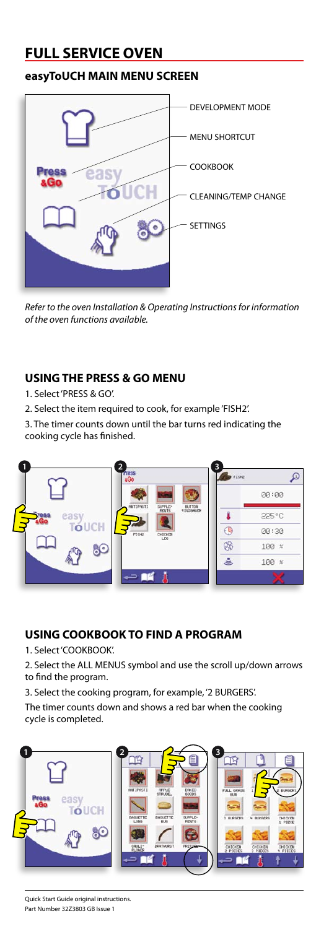# **FULL SERVICE OVEN**

### **easyToUCH MAIN MENU SCREEN**



*Refer to the oven Installation & Operating Instructions for information of the oven functions available.*

## **USING THE PRESS & GO MENU**

- 1. Select 'PRESS & GO'.
- 2. Select the item required to cook, for example 'FISH2'.

3. The timer counts down until the bar turns red indicating the cooking cycle has finished.



### **USING COOKBOOK TO FIND A PROGRAM**

1. Select 'COOKBOOK'.

2. Select the ALL MENUS symbol and use the scroll up/down arrows to find the program.

3. Select the cooking program, for example, '2 BURGERS'.

The timer counts down and shows a red bar when the cooking cycle is completed.

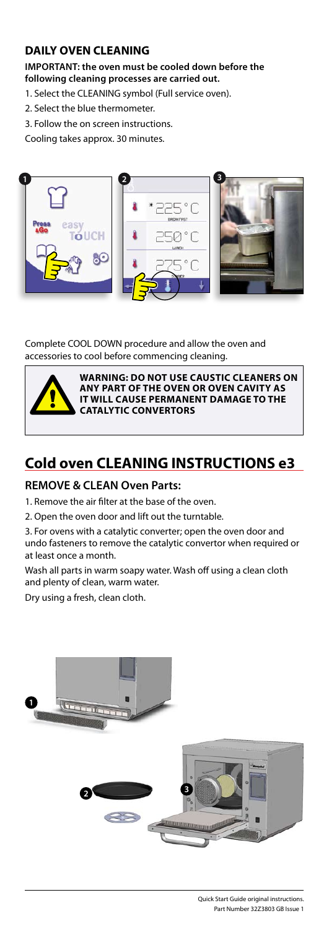#### **DAILY OVEN CLEANING**

#### **IMPORTANT: the oven must be cooled down before the following cleaning processes are carried out.**

1. Select the CLEANING symbol (Full service oven).

- 2. Select the blue thermometer.
- 3. Follow the on screen instructions.

Cooling takes approx. 30 minutes.



#### Complete COOL DOWN procedure and allow the oven and accessories to cool before commencing cleaning.



**WARNING: DO NOT use caustic cleaners on any part of the oven or oven cavity as it will cause permanent damage to the Catalytic Convertors**

# **Cold oven CLEANING INSTRUCTIONS e3**

#### **REMOVE & CLEAN Oven Parts:**

1. Remove the air filter at the base of the oven.

- 2. Open the oven door and lift out the turntable.
- 3. For ovens with a catalytic converter; open the oven door and undo fasteners to remove the catalytic convertor when required or at least once a month.

Wash all parts in warm soapy water. Wash off using a clean cloth and plenty of clean, warm water.

Dry using a fresh, clean cloth.